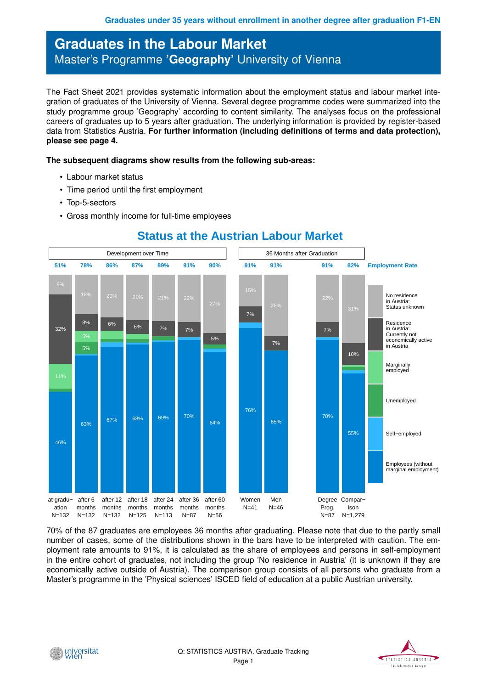## **Graduates in the Labour Market** Master's Programme **'Geography'** University of Vienna

The Fact Sheet 2021 provides systematic information about the employment status and labour market integration of graduates of the University of Vienna. Several degree programme codes were summarized into the study programme group 'Geography' according to content similarity. The analyses focus on the professional careers of graduates up to 5 years after graduation. The underlying information is provided by register-based data from Statistics Austria. **For further information (including definitions of terms and data protection), please see page 4.**

## **The subsequent diagrams show results from the following sub-areas:**

- Labour market status
- Time period until the first employment
- Top-5-sectors
- Gross monthly income for full-time employees



**Status at the Austrian Labour Market**

70% of the 87 graduates are employees 36 months after graduating. Please note that due to the partly small number of cases, some of the distributions shown in the bars have to be interpreted with caution. The employment rate amounts to 91%, it is calculated as the share of employees and persons in self-employment in the entire cohort of graduates, not including the group 'No residence in Austria' (it is unknown if they are economically active outside of Austria). The comparison group consists of all persons who graduate from a Master's programme in the 'Physical sciences' ISCED field of education at a public Austrian university.



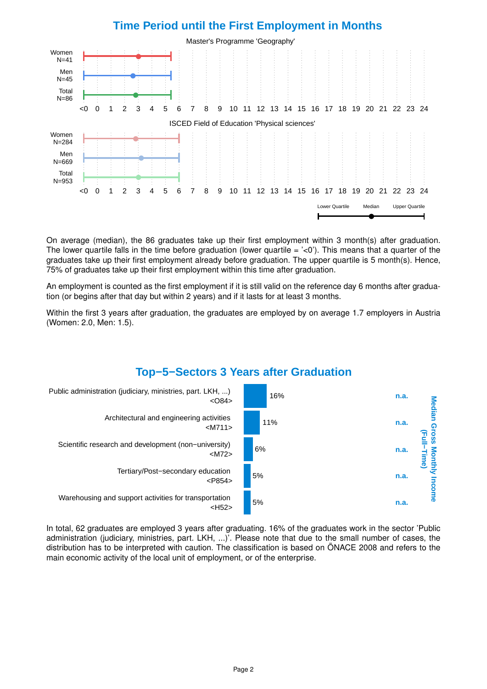

On average (median), the 86 graduates take up their first employment within 3 month(s) after graduation. The lower quartile falls in the time before graduation (lower quartile  $=$   $\langle$   $\langle$   $\rangle$ ). This means that a quarter of the graduates take up their first employment already before graduation. The upper quartile is 5 month(s). Hence, 75% of graduates take up their first employment within this time after graduation.

An employment is counted as the first employment if it is still valid on the reference day 6 months after graduation (or begins after that day but within 2 years) and if it lasts for at least 3 months.

Within the first 3 years after graduation, the graduates are employed by on average 1.7 employers in Austria (Women: 2.0, Men: 1.5).

## **Top−5−Sectors 3 Years after Graduation**



In total, 62 graduates are employed 3 years after graduating. 16% of the graduates work in the sector 'Public administration (judiciary, ministries, part. LKH, ...)'. Please note that due to the small number of cases, the distribution has to be interpreted with caution. The classification is based on ÖNACE 2008 and refers to the main economic activity of the local unit of employment, or of the enterprise.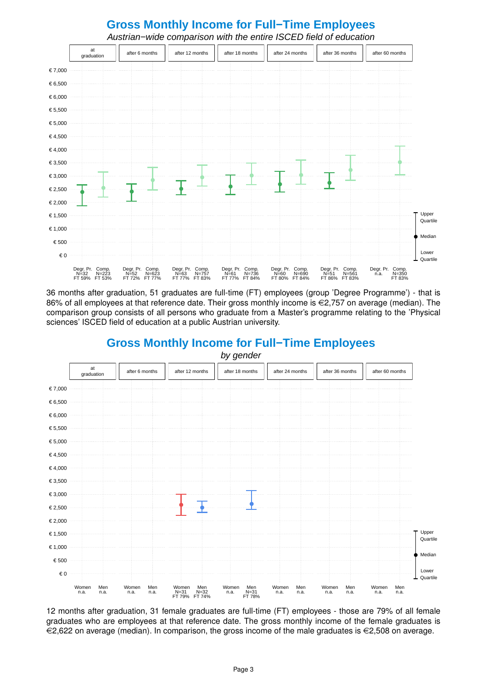

36 months after graduation, 51 graduates are full-time (FT) employees (group 'Degree Programme') - that is 86% of all employees at that reference date. Their gross monthly income is  $\epsilon$ 2,757 on average (median). The comparison group consists of all persons who graduate from a Master's programme relating to the 'Physical sciences' ISCED field of education at a public Austrian university.



**Gross Monthly Income for Full−Time Employees**

12 months after graduation, 31 female graduates are full-time (FT) employees - those are 79% of all female graduates who are employees at that reference date. The gross monthly income of the female graduates is  $\in$ 2,622 on average (median). In comparison, the gross income of the male graduates is  $\in$ 2,508 on average.